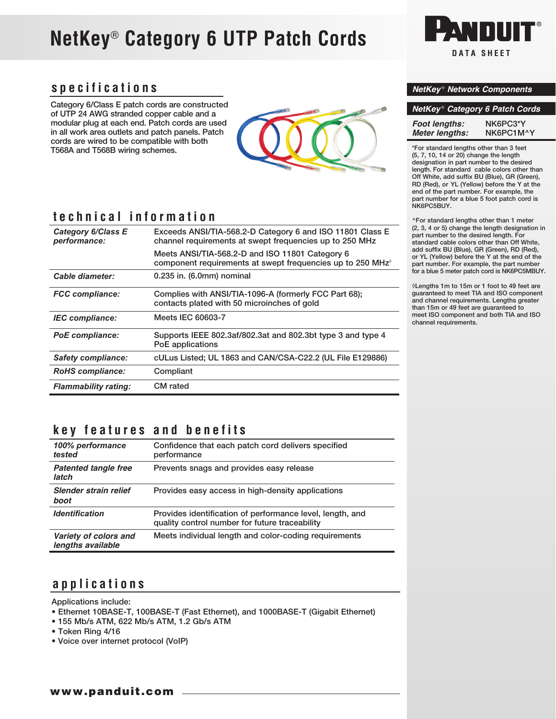# **NetKey**® **Category 6 UTP Patch Cords**

## **specifications**

Category 6/Class E patch cords are constructed of UTP 24 AWG stranded copper cable and a modular plug at each end. Patch cords are used in all work area outlets and patch panels. Patch cords are wired to be compatible with both T568A and T568B wiring schemes.



# **technical information**

| Category 6/Class E<br>performance: | Exceeds ANSI/TIA-568.2-D Category 6 and ISO 11801 Class E<br>channel requirements at swept frequencies up to 250 MHz      |
|------------------------------------|---------------------------------------------------------------------------------------------------------------------------|
|                                    | Meets ANSI/TIA-568.2-D and ISO 11801 Category 6<br>component requirements at swept frequencies up to 250 MHz <sup>o</sup> |
| Cable diameter:                    | 0.235 in. (6.0mm) nominal                                                                                                 |
| <b>FCC compliance:</b>             | Complies with ANSI/TIA-1096-A (formerly FCC Part 68);<br>contacts plated with 50 microinches of gold                      |
| <b>IEC</b> compliance:             | Meets IEC 60603-7                                                                                                         |
| <b>PoE</b> compliance:             | Supports IEEE 802.3af/802.3at and 802.3bt type 3 and type 4<br>PoE applications                                           |
| <b>Safety compliance:</b>          | cULus Listed; UL 1863 and CAN/CSA-C22.2 (UL File E129886)                                                                 |
| <b>RoHS</b> compliance:            | Compliant                                                                                                                 |
| <b>Flammability rating:</b>        | <b>CM</b> rated                                                                                                           |

# **DATA SHEET**

#### *NetKey* ® *Network Components*

| NetKey <sup>®</sup> Category 6 Patch Cords |           |  |
|--------------------------------------------|-----------|--|
| Foot lengths:                              | NK6PC3*Y  |  |
| <b>Meter lenaths:</b>                      | NK6PC1M^Y |  |

\*For standard lengths other than 3 feet (5, 7, 10, 14 or 20) change the length designation in part number to the desired length. For standard cable colors other than Off White, add suffix BU (Blue), GR (Green), RD (Red), or YL (Yellow) before the Y at the end of the part number. For example, the part number for a blue 5 foot patch cord is NK6PC5BUY.

^For standard lengths other than 1 meter (2, 3, 4 or 5) change the length designation in part number to the desired length. For standard cable colors other than Off White, add suffix BU (Blue), GR (Green), RD (Red), or YL (Yellow) before the Y at the end of the part number. For example, the part number for a blue 5 meter patch cord is NK6PC5MBUY.

◊Lengths 1m to 15m or 1 foot to 49 feet are guaranteed to meet TIA and ISO component and channel requirements. Lengths greater than 15m or 49 feet are guaranteed to meet ISO component and both TIA and ISO channel requirements.

# **key features and benefits**

| 100% performance<br>tested                 | Confidence that each patch cord delivers specified<br>performance                                           |
|--------------------------------------------|-------------------------------------------------------------------------------------------------------------|
| <b>Patented tangle free</b><br>latch       | Prevents snags and provides easy release                                                                    |
| Slender strain relief<br>boot              | Provides easy access in high-density applications                                                           |
| <i><u><b>Identification</b></u></i>        | Provides identification of performance level, length, and<br>quality control number for future traceability |
| Variety of colors and<br>lengths available | Meets individual length and color-coding requirements                                                       |

### **applications**

Applications include:

- Ethernet 10BASE-T, 100BASE-T (Fast Ethernet), and 1000BASE-T (Gigabit Ethernet)
- 155 Mb/s ATM, 622 Mb/s ATM, 1.2 Gb/s ATM
- Token Ring 4/16
- Voice over internet protocol (VoIP)